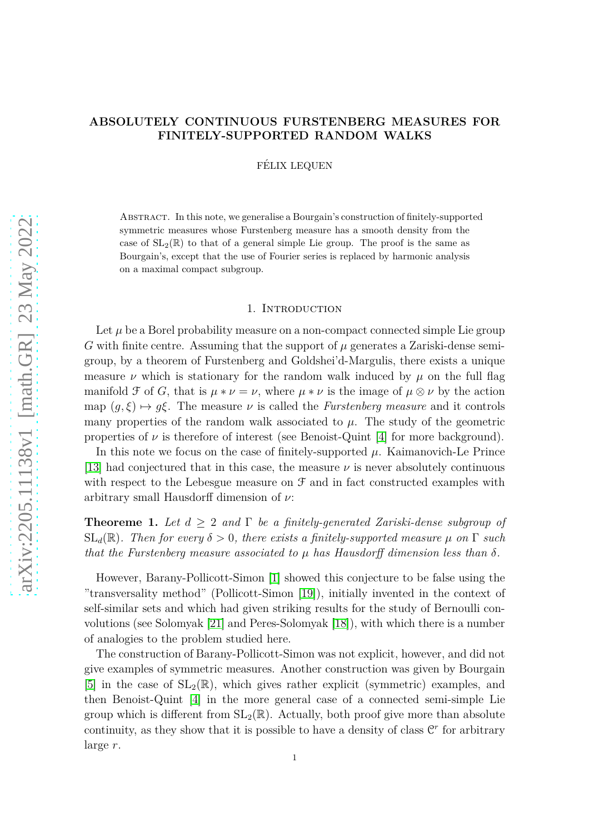# **ABSOLUTELY CONTINUOUS FURSTENBERG MEASURES FOR FINITELY-SUPPORTED RANDOM WALKS**

FÉLIX LEQUEN

Abstract. In this note, we generalise a Bourgain's construction of finitely-supported symmetric measures whose Furstenberg measure has a smooth density from the case of  $SL_2(\mathbb{R})$  to that of a general simple Lie group. The proof is the same as Bourgain's, except that the use of Fourier series is replaced by harmonic analysis on a maximal compact subgroup.

# 1. INTRODUCTION

Let  $\mu$  be a Borel probability measure on a non-compact connected simple Lie group  $G$  with finite centre. Assuming that the support of  $\mu$  generates a Zariski-dense semigroup, by a theorem of Furstenberg and Goldshei'd-Margulis, there exists a unique measure *ν* which is stationary for the random walk induced by  $\mu$  on the full flag manifold  $\mathcal F$  of  $G$ , that is  $\mu * \nu = \nu$ , where  $\mu * \nu$  is the image of  $\mu \otimes \nu$  by the action map  $(g, \xi) \mapsto g\xi$ . The measure  $\nu$  is called the *Furstenberg measure* and it controls many properties of the random walk associated to  $\mu$ . The study of the geometric properties of  $\nu$  is therefore of interest (see Benoist-Quint [\[4\]](#page-7-0) for more background).

In this note we focus on the case of finitely-supported  $\mu$ . Kaimanovich-Le Prince [\[13\]](#page-7-1) had conjectured that in this case, the measure *ν* is never absolutely continuous with respect to the Lebesgue measure on  $\mathcal F$  and in fact constructed examples with arbitrary small Hausdorff dimension of *ν*:

**Theoreme 1.** *Let d* ≥ 2 *and* Γ *be a finitely-generated Zariski-dense subgroup of*  $SL_d(\mathbb{R})$ *. Then for every*  $\delta > 0$ *, there exists a finitely-supported measure*  $\mu$  *on*  $\Gamma$  *such that the Furstenberg measure associated to µ has Hausdorff dimension less than δ.*

However, Barany-Pollicott-Simon [\[1\]](#page-7-2) showed this conjecture to be false using the "transversality method" (Pollicott-Simon [\[19\]](#page-8-0)), initially invented in the context of self-similar sets and which had given striking results for the study of Bernoulli convolutions (see Solomyak [\[21\]](#page-8-1) and Peres-Solomyak [\[18\]](#page-8-2)), with which there is a number of analogies to the problem studied here.

The construction of Barany-Pollicott-Simon was not explicit, however, and did not give examples of symmetric measures. Another construction was given by Bourgain [\[5\]](#page-7-3) in the case of  $SL_2(\mathbb{R})$ , which gives rather explicit (symmetric) examples, and then Benoist-Quint [\[4\]](#page-7-0) in the more general case of a connected semi-simple Lie group which is different from  $SL_2(\mathbb{R})$ . Actually, both proof give more than absolute continuity, as they show that it is possible to have a density of class  $\mathbb{C}^r$  for arbitrary large *r*.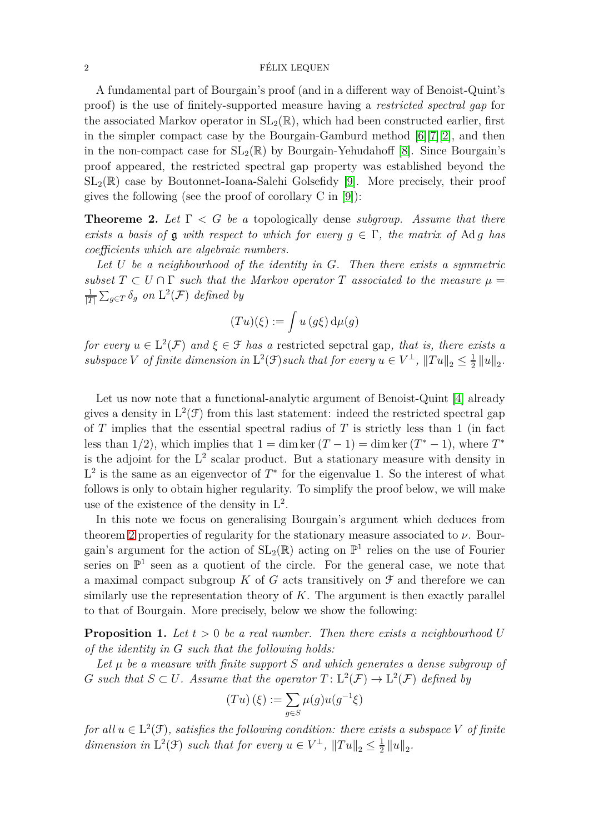#### $\Gamma$   $\sim$   $\Gamma$   $\sim$   $\Gamma$   $\sim$   $\Gamma$   $\sim$   $\Gamma$   $\sim$   $\Gamma$   $\sim$   $\Gamma$   $\sim$   $\Gamma$   $\sim$   $\Gamma$   $\sim$   $\Gamma$   $\sim$   $\Gamma$   $\sim$   $\Gamma$   $\sim$   $\Gamma$   $\sim$   $\Gamma$   $\sim$   $\Gamma$   $\sim$   $\Gamma$   $\sim$   $\Gamma$   $\sim$   $\Gamma$   $\sim$   $\Gamma$   $\sim$   $\Gamma$   $\sim$   $\Gamma$   $\sim$   $\Gamma$   $\sim$

A fundamental part of Bourgain's proof (and in a different way of Benoist-Quint's proof) is the use of finitely-supported measure having a *restricted spectral gap* for the associated Markov operator in  $SL_2(\mathbb{R})$ , which had been constructed earlier, first in the simpler compact case by the Bourgain-Gamburd method  $[6][7][2]$  $[6][7][2]$  $[6][7][2]$ , and then in the non-compact case for  $SL_2(\mathbb{R})$  by Bourgain-Yehudahoff [\[8\]](#page-7-7). Since Bourgain's proof appeared, the restricted spectral gap property was established beyond the  $SL_2(\mathbb{R})$  case by Boutonnet-Ioana-Salehi Golsefidy [\[9\]](#page-7-8). More precisely, their proof gives the following (see the proof of corollary C in [\[9\]](#page-7-8)):

<span id="page-1-0"></span>**Theoreme 2.** *Let* Γ *< G be a* topologically dense *subgroup. Assume that there exists a basis of* **g** *with respect to which for every*  $q \in \Gamma$ , the matrix of Ad *q* has *coefficients which are algebraic numbers.*

*Let U be a neighbourhood of the identity in G. Then there exists a symmetric subset*  $T \subset U \cap \Gamma$  *such that the Markov operator*  $T$  *associated to the measure*  $\mu =$ 1  $\frac{1}{|T|} \sum_{g \in T} \delta_g$  on  $\mathrm{L}^2(\mathcal{F})$  defined by

$$
(Tu)(\xi) := \int u(g\xi) d\mu(g)
$$

*for every*  $u \in L^2(\mathcal{F})$  *and*  $\xi \in \mathcal{F}$  *has a* restricted sepctral gap, *that is, there exists a subspace V of finite dimension in*  $L^2(\mathcal{F})$ *such that for every*  $u \in V^{\perp}$ ,  $||Tu||_2 \leq \frac{1}{2}$  $\frac{1}{2}$  ||u||<sub>2</sub>.

Let us now note that a functional-analytic argument of Benoist-Quint [\[4\]](#page-7-0) already gives a density in  $L^2(\mathcal{F})$  from this last statement: indeed the restricted spectral gap of *T* implies that the essential spectral radius of *T* is strictly less than 1 (in fact less than  $1/2$ ), which implies that  $1 = \dim \ker (T - 1) = \dim \ker (T^* - 1)$ , where  $T^*$ is the adjoint for the  $L^2$  scalar product. But a stationary measure with density in  $L^2$  is the same as an eigenvector of  $T^*$  for the eigenvalue 1. So the interest of what follows is only to obtain higher regularity. To simplify the proof below, we will make use of the existence of the density in  $L^2$ .

In this note we focus on generalising Bourgain's argument which deduces from theorem [2](#page-1-0) properties of regularity for the stationary measure associated to  $\nu$ . Bourgain's argument for the action of  $SL_2(\mathbb{R})$  acting on  $\mathbb{P}^1$  relies on the use of Fourier series on  $\mathbb{P}^1$  seen as a quotient of the circle. For the general case, we note that a maximal compact subgroup  $K$  of  $G$  acts transitively on  $\mathcal F$  and therefore we can similarly use the representation theory of *K*. The argument is then exactly parallel to that of Bourgain. More precisely, below we show the following:

**Proposition 1.** Let  $t > 0$  be a real number. Then there exists a neighbourhood U *of the identity in G such that the following holds:*

*Let µ be a measure with finite support S and which generates a dense subgroup of G* such that  $S \subset U$ . Assume that the operator  $T: L^2(\mathcal{F}) \to L^2(\mathcal{F})$  defined by

$$
(Tu)(\xi) := \sum_{g \in S} \mu(g) u(g^{-1}\xi)
$$

*for all*  $u \in L^2(\mathcal{F})$ *, satisfies the following condition: there exists a subspace V of finite dimension in*  $L^2(\mathcal{F})$  *such that for every*  $u \in V^{\perp}$ ,  $||Tu||_2 \leq \frac{1}{2}$  $\frac{1}{2}$  ||u||<sub>2</sub>.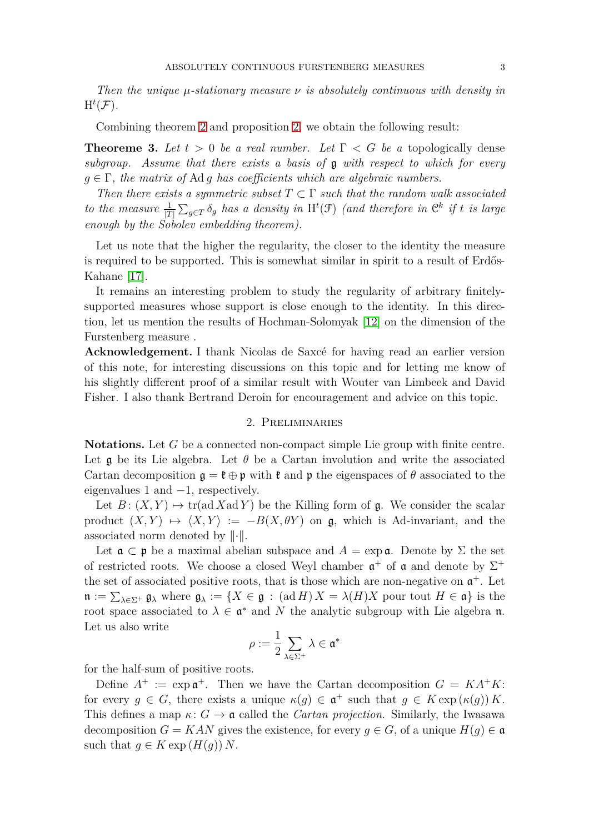*Then the unique µ-stationary measure ν is absolutely continuous with density in*  $H^t(\mathcal{F})$ .

Combining theorem [2](#page-1-0) and proposition [2,](#page-5-0) we obtain the following result:

**Theoreme 3.** Let  $t > 0$  be a real number. Let  $\Gamma < G$  be a topologically dense *subgroup. Assume that there exists a basis of* g *with respect to which for every g* ∈ Γ*, the matrix of* Ad *g has coefficients which are algebraic numbers.*

*Then there exists a symmetric subset*  $T \subset \Gamma$  *such that the random walk associated to the measure*  $\frac{1}{|T|} \sum_{g \in T} \delta_g$  *has a density in* H<sup>t</sup>(F) *(and therefore in*  $\mathbb{C}^k$  *if t is large enough by the Sobolev embedding theorem).*

Let us note that the higher the regularity, the closer to the identity the measure is required to be supported. This is somewhat similar in spirit to a result of Erdős-Kahane [\[17\]](#page-8-3).

It remains an interesting problem to study the regularity of arbitrary finitelysupported measures whose support is close enough to the identity. In this direction, let us mention the results of Hochman-Solomyak [\[12\]](#page-7-9) on the dimension of the Furstenberg measure .

**Acknowledgement.** I thank Nicolas de Saxcé for having read an earlier version of this note, for interesting discussions on this topic and for letting me know of his slightly different proof of a similar result with Wouter van Limbeek and David Fisher. I also thank Bertrand Deroin for encouragement and advice on this topic.

### 2. Preliminaries

**Notations.** Let *G* be a connected non-compact simple Lie group with finite centre. Let  $\boldsymbol{g}$  be its Lie algebra. Let  $\theta$  be a Cartan involution and write the associated Cartan decomposition  $\mathfrak{g} = \mathfrak{k} \oplus \mathfrak{p}$  with  $\mathfrak{k}$  and  $\mathfrak{p}$  the eigenspaces of  $\theta$  associated to the eigenvalues 1 and −1, respectively.

Let  $B: (X, Y) \mapsto \text{tr}(\text{ad }X \text{ad }Y)$  be the Killing form of g. We consider the scalar product  $(X, Y) \mapsto \langle X, Y \rangle := -B(X, \theta Y)$  on g, which is Ad-invariant, and the associated norm denoted by  $\lVert \cdot \rVert$ .

Let  $\mathfrak{a} \subset \mathfrak{p}$  be a maximal abelian subspace and  $A = \exp \mathfrak{a}$ . Denote by  $\Sigma$  the set of restricted roots. We choose a closed Weyl chamber  $\mathfrak{a}^+$  of  $\mathfrak{a}$  and denote by  $\Sigma^+$ the set of associated positive roots, that is those which are non-negative on  $\mathfrak{a}^+$ . Let  $\mathfrak{n} := \sum_{\lambda \in \Sigma^+} \mathfrak{g}_\lambda$  where  $\mathfrak{g}_\lambda := \{ X \in \mathfrak{g} \, : \, (\text{ad }H) \, X = \lambda(H)X \text{ pour tout } H \in \mathfrak{a} \}$  is the root space associated to  $\lambda \in \mathfrak{a}^*$  and N the analytic subgroup with Lie algebra n. Let us also write

$$
\rho:=\frac{1}{2}\sum_{\lambda\in\Sigma^+}\lambda\in\mathfrak{a}^*
$$

for the half-sum of positive roots.

Define  $A^+ := \exp \mathfrak{a}^+$ . Then we have the Cartan decomposition  $G = KA^+K$ : for every  $g \in G$ , there exists a unique  $\kappa(g) \in \mathfrak{a}^+$  such that  $g \in K \exp(\kappa(g)) K$ . This defines a map  $\kappa: G \to \mathfrak{a}$  called the *Cartan projection*. Similarly, the Iwasawa decomposition  $G = KAN$  gives the existence, for every  $q \in G$ , of a unique  $H(q) \in \mathfrak{a}$ such that  $g \in K \exp(H(g)) N$ .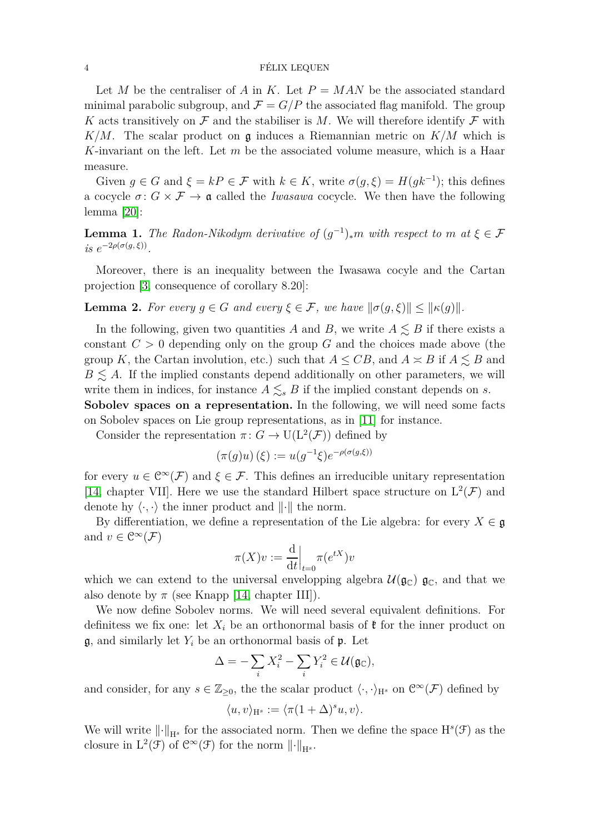### 4 FÉLIX LEQUEN

Let *M* be the centraliser of *A* in *K*. Let  $P = MAN$  be the associated standard minimal parabolic subgroup, and  $\mathcal{F} = G/P$  the associated flag manifold. The group *K* acts transitively on  $\mathcal F$  and the stabiliser is *M*. We will therefore identify  $\mathcal F$  with  $K/M$ . The scalar product on  $\mathfrak g$  induces a Riemannian metric on  $K/M$  which is *K*-invariant on the left. Let *m* be the associated volume measure, which is a Haar measure.

Given  $g \in G$  and  $\xi = kP \in \mathcal{F}$  with  $k \in K$ , write  $\sigma(g, \xi) = H(gk^{-1})$ ; this defines a cocycle  $\sigma: G \times \mathcal{F} \to \mathfrak{a}$  called the *Iwasawa* cocycle. We then have the following lemma [\[20\]](#page-8-4):

**Lemma 1.** *The Radon-Nikodym derivative of*  $(g^{-1})_*m$  *with respect to m* at  $\xi \in \mathcal{F}$  $i s \ e^{-2\rho(\sigma(g,\xi))}$ .

Moreover, there is an inequality between the Iwasawa cocyle and the Cartan projection [\[3,](#page-7-10) consequence of corollary 8.20]:

<span id="page-3-0"></span>**Lemma 2.** For every  $g \in G$  and every  $\xi \in \mathcal{F}$ , we have  $\|\sigma(g,\xi)\| \leq \|\kappa(g)\|$ .

In the following, given two quantities *A* and *B*, we write  $A \leq B$  if there exists a constant  $C > 0$  depending only on the group  $G$  and the choices made above (the group *K*, the Cartan involution, etc.) such that  $A \leq CB$ , and  $A \approx B$  if  $A \leq B$  and  $B \leq A$ . If the implied constants depend additionally on other parameters, we will write them in indices, for instance  $A \leq_{s} B$  if the implied constant depends on *s*. Sobolev spaces on a representation. In the following, we will need some facts

on Sobolev spaces on Lie group representations, as in [\[11\]](#page-7-11) for instance.

Consider the representation  $\pi: G \to U(L^2(\mathcal{F}))$  defined by

$$
(\pi(g)u)(\xi) := u(g^{-1}\xi)e^{-\rho(\sigma(g,\xi))}
$$

for every  $u \in \mathbb{C}^{\infty}(\mathcal{F})$  and  $\xi \in \mathcal{F}$ . This defines an irreducible unitary representation [\[14,](#page-7-12) chapter VII]. Here we use the standard Hilbert space structure on  $L^2(\mathcal{F})$  and denote hy  $\langle \cdot, \cdot \rangle$  the inner product and  $\| \cdot \|$  the norm.

By differentiation, we define a representation of the Lie algebra: for every  $X \in \mathfrak{g}$ and  $v \in \mathcal{C}^{\infty}(\mathcal{F})$ 

$$
\pi(X)v := \frac{\mathrm{d}}{\mathrm{d}t}\Big|_{t=0} \pi(e^{tX})v
$$

which we can extend to the universal envelopping algebra  $\mathcal{U}(\mathfrak{g}_{\mathbb{C}})$   $\mathfrak{g}_{\mathbb{C}}$ , and that we also denote by  $\pi$  (see Knapp [\[14,](#page-7-12) chapter III]).

We now define Sobolev norms. We will need several equivalent definitions. For definitess we fix one: let  $X_i$  be an orthonormal basis of  $\mathfrak k$  for the inner product on  $\mathfrak{g}$ , and similarly let  $Y_i$  be an orthonormal basis of  $\mathfrak{p}$ . Let

$$
\Delta = -\sum_{i} X_i^2 - \sum_{i} Y_i^2 \in \mathcal{U}(\mathfrak{g}_{\mathbb{C}}),
$$

and consider, for any  $s \in \mathbb{Z}_{\geq 0}$ , the the scalar product  $\langle \cdot, \cdot \rangle_{H^s}$  on  $\mathcal{C}^{\infty}(\mathcal{F})$  defined by

$$
\langle u, v \rangle_{\mathcal{H}^s} := \langle \pi (1 + \Delta)^s u, v \rangle.
$$

We will write  $\lVert \cdot \rVert_{H^s}$  for the associated norm. Then we define the space  $H^s(\mathcal{F})$  as the closure in  $L^2(\mathcal{F})$  of  $\mathcal{C}^{\infty}(\mathcal{F})$  for the norm  $\lVert \cdot \rVert_{H^s}$ .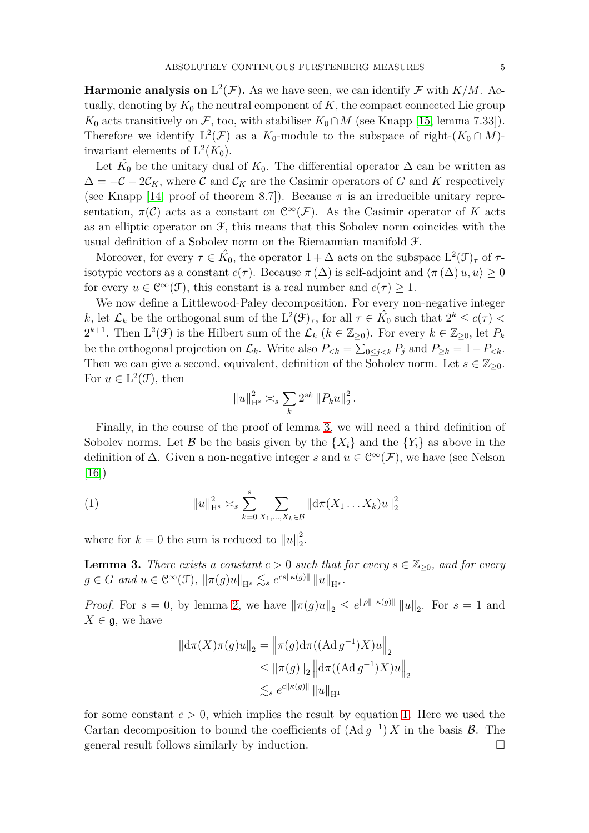**Harmonic analysis on**  $L^2(\mathcal{F})$ . As we have seen, we can identify  $\mathcal{F}$  with  $K/M$ . Actually, denoting by  $K_0$  the neutral component of  $K$ , the compact connected Lie group *K*<sub>0</sub> acts transitively on *F*, too, with stabiliser  $K_0 \cap M$  (see Knapp [\[15,](#page-7-13) lemma 7.33]). Therefore we identify  $L^2(\mathcal{F})$  as a  $K_0$ -module to the subspace of right- $(K_0 \cap M)$ invariant elements of  $L^2(K_0)$ .

Let  $\hat{K}_0$  be the unitary dual of  $K_0$ . The differential operator  $\Delta$  can be written as  $\Delta = -\mathcal{C} - 2\mathcal{C}_K$ , where  $\mathcal{C}$  and  $\mathcal{C}_K$  are the Casimir operators of G and K respectively (see Knapp [\[14,](#page-7-12) proof of theorem 8.7]). Because  $\pi$  is an irreducible unitary representation,  $\pi(\mathcal{C})$  acts as a constant on  $\mathcal{C}^{\infty}(\mathcal{F})$ . As the Casimir operator of *K* acts as an elliptic operator on  $\mathcal{F}$ , this means that this Sobolev norm coincides with the usual definition of a Sobolev norm on the Riemannian manifold F.

Moreover, for every  $\tau \in \hat{K_0}$ , the operator  $1 + \Delta$  acts on the subspace  $L^2(\mathcal{F})_{\tau}$  of  $\tau$ isotypic vectors as a constant  $c(\tau)$ . Because  $\pi(\Delta)$  is self-adjoint and  $\langle \pi(\Delta) u, u \rangle \geq 0$ for every  $u \in \mathcal{C}^{\infty}(\mathcal{F})$ , this constant is a real number and  $c(\tau) \geq 1$ .

We now define a Littlewood-Paley decomposition. For every non-negative integer *k*, let  $\mathcal{L}_k$  be the orthogonal sum of the  $L^2(\mathcal{F})_\tau$ , for all  $\tau \in \hat{K}_0$  such that  $2^k \leq c(\tau)$  $2^{k+1}$ . Then  $L^2(\mathcal{F})$  is the Hilbert sum of the  $\mathcal{L}_k$  ( $k \in \mathbb{Z}_{\geq 0}$ ). For every  $k \in \mathbb{Z}_{\geq 0}$ , let  $P_k$ be the orthogonal projection on  $\mathcal{L}_k$ . Write also  $P_{< k} = \sum_{0 \leq j < k} P_j$  and  $P_{\geq k} = 1 - P_{< k}$ . Then we can give a second, equivalent, definition of the Sobolev norm. Let  $s \in \mathbb{Z}_{\geq 0}$ . For  $u \in L^2(\mathcal{F})$ , then

$$
||u||_{\mathcal{H}^{s}}^{2} \asymp_{s} \sum_{k} 2^{sk} ||P_{k}u||_{2}^{2}.
$$

Finally, in the course of the proof of lemma [3,](#page-4-0) we will need a third definition of Sobolev norms. Let B be the basis given by the  $\{X_i\}$  and the  $\{Y_i\}$  as above in the definition of  $\Delta$ . Given a non-negative integer *s* and  $u \in C^{\infty}(\mathcal{F})$ , we have (see Nelson [\[16\]](#page-8-5))

<span id="page-4-1"></span>(1) 
$$
||u||_{H^s}^2 \asymp_s \sum_{k=0}^s \sum_{X_1,\dots,X_k \in \mathcal{B}} ||d\pi(X_1 \dots X_k)u||_2^2
$$

where for  $k = 0$  the sum is reduced to  $||u||_2^2$  $\frac{2}{2}$ .

<span id="page-4-0"></span>**Lemma 3.** *There exists a constant*  $c > 0$  *such that for every*  $s \in \mathbb{Z}_{\geq 0}$ *, and for every*  $g \in G$  *and*  $u \in C^{\infty}(\mathcal{F})$ ,  $\|\pi(g)u\|_{\mathcal{H}^{s}} \lesssim_{s} e^{cs\|\kappa(g)\|}\|u\|_{\mathcal{H}^{s}}$ .

*Proof.* For  $s = 0$ , by lemma [2,](#page-3-0) we have  $\|\pi(g)u\|_2 \leq e^{\|\rho\| \|\kappa(g)\|} \|u\|_2$ . For  $s = 1$  and  $X \in \mathfrak{g}$ , we have

$$
\|\mathrm{d}\pi(X)\pi(g)u\|_{2} = \left\|\pi(g)\mathrm{d}\pi((\mathrm{Ad}\,g^{-1})X)u\right\|_{2}
$$
  
\n
$$
\leq \left\|\pi(g)\right\|_{2} \left\|\mathrm{d}\pi((\mathrm{Ad}\,g^{-1})X)u\right\|_{2}
$$
  
\n
$$
\lesssim_{s} e^{c\|\kappa(g)\|} \|u\|_{\mathrm{H}^{1}}
$$

for some constant  $c > 0$ , which implies the result by equation [1.](#page-4-1) Here we used the Cartan decomposition to bound the coefficients of  $(Ad g^{-1}) X$  in the basis  $\mathcal{B}$ . The general result follows similarly by induction.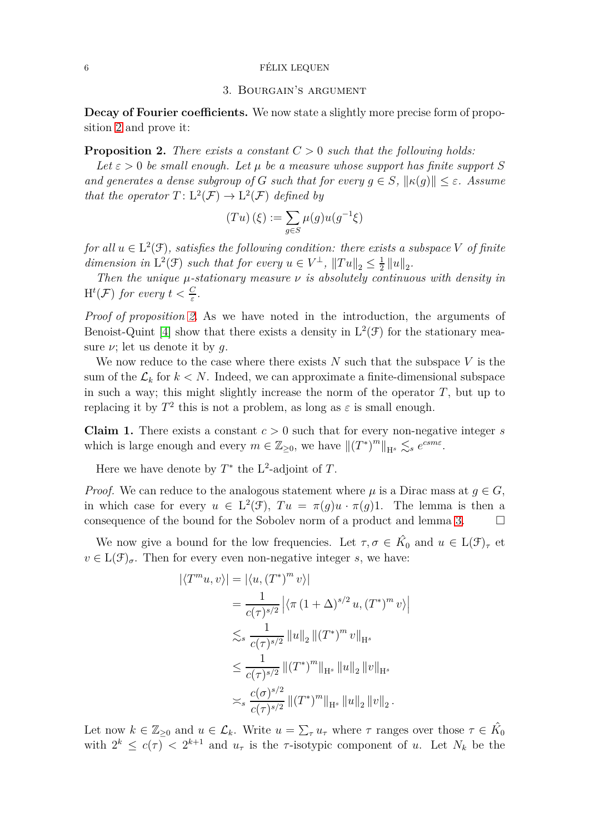## $6$  FÉLIX LEQUEN

## 3. Bourgain's argument

**Decay of Fourier coefficients.** We now state a slightly more precise form of proposition [2](#page-5-0) and prove it:

<span id="page-5-0"></span>**Proposition 2.** *There exists a constant C >* 0 *such that the following holds:*

*Let*  $\varepsilon > 0$  *be small enough. Let*  $\mu$  *be a measure whose support has finite support S and generates a dense subgroup of G such that for every*  $q \in S$ ,  $\|\kappa(q)\| < \varepsilon$ . Assume *that the operator*  $T: L^2(\mathcal{F}) \to L^2(\mathcal{F})$  *defined by* 

$$
(Tu)(\xi) := \sum_{g \in S} \mu(g) u(g^{-1}\xi)
$$

*for all*  $u \in L^2(\mathcal{F})$ *, satisfies the following condition: there exists a subspace V of finite dimension in*  $L^2(\mathcal{F})$  *such that for every*  $u \in V^{\perp}$ ,  $||Tu||_2 \leq \frac{1}{2}$  $\frac{1}{2}$  ||u||<sub>2</sub>.

*Then the unique µ-stationary measure ν is absolutely continuous with density in*  $H^t(\mathcal{F})$  *for every*  $t < \frac{C}{\varepsilon}$ .

*Proof of proposition [2.](#page-5-0)* As we have noted in the introduction, the arguments of Benoist-Quint [\[4\]](#page-7-0) show that there exists a density in  $L^2(\mathcal{F})$  for the stationary measure  $\nu$ ; let us denote it by q.

We now reduce to the case where there exists *N* such that the subspace *V* is the sum of the  $\mathcal{L}_k$  for  $k < N$ . Indeed, we can approximate a finite-dimensional subspace in such a way; this might slightly increase the norm of the operator  $T$ , but up to replacing it by  $T^2$  this is not a problem, as long as  $\varepsilon$  is small enough.

**Claim 1.** There exists a constant  $c > 0$  such that for every non-negative integer *s* which is large enough and every  $m \in \mathbb{Z}_{\geq 0}$ , we have  $||(T^*)^m||_{H^s} \lesssim_s e^{csm\varepsilon}$ .

Here we have denote by  $T^*$  the L<sup>2</sup>-adjoint of  $T$ .

*Proof.* We can reduce to the analogous statement where  $\mu$  is a Dirac mass at  $q \in G$ , in which case for every  $u \in L^2(\mathcal{F})$ ,  $Tu = \pi(g)u \cdot \pi(g)1$ . The lemma is then a consequence of the bound for the Sobolev norm of a product and lemma [3.](#page-4-0)  $\Box$ 

We now give a bound for the low frequencies. Let  $\tau, \sigma \in \hat{K}_0$  and  $u \in L(\mathcal{F})_{\tau}$  et  $v \in L(\mathcal{F})_{\sigma}$ . Then for every even non-negative integer *s*, we have:

$$
\begin{aligned} |\langle T^m u, v \rangle| &= |\langle u, (T^*)^m v \rangle| \\ &= \frac{1}{c(\tau)^{s/2}} \left| \langle \pi (1 + \Delta)^{s/2} u, (T^*)^m v \rangle \right| \\ &\lesssim_s \frac{1}{c(\tau)^{s/2}} \|u\|_2 \| (T^*)^m v\|_{\mathcal{H}^s} \\ &\leq \frac{1}{c(\tau)^{s/2}} \| (T^*)^m \|_{\mathcal{H}^s} \|u\|_2 \|v\|_{\mathcal{H}^s} \\ &\asymp_s \frac{c(\sigma)^{s/2}}{c(\tau)^{s/2}} \| (T^*)^m \|_{\mathcal{H}^s} \|u\|_2 \|v\|_2 \,. \end{aligned}
$$

Let now  $k \in \mathbb{Z}_{\geq 0}$  and  $u \in \mathcal{L}_k$ . Write  $u = \sum_{\tau} u_{\tau}$  where  $\tau$  ranges over those  $\tau \in \hat{K}_0$ with  $2^k \leq c(\tau) < 2^{k+1}$  and  $u_\tau$  is the  $\tau$ -isotypic component of *u*. Let  $N_k$  be the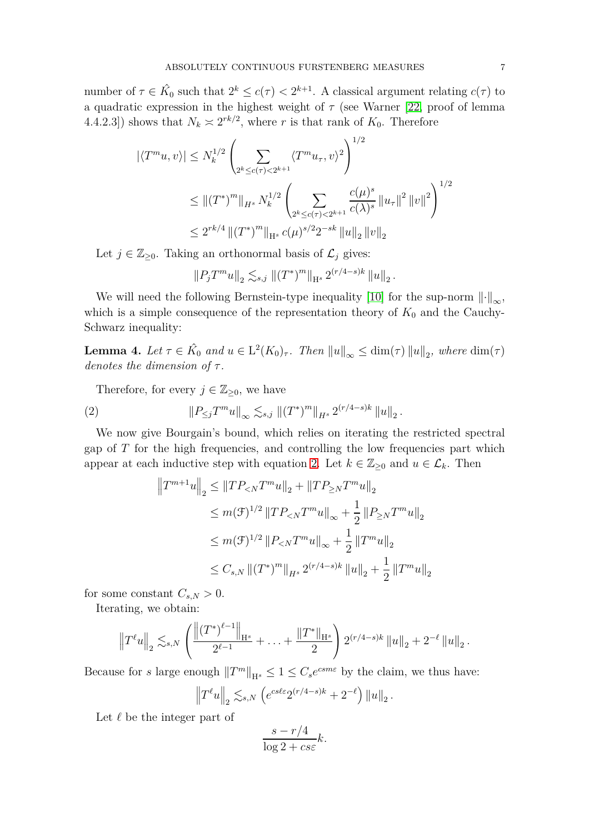number of  $\tau \in \hat{K}_0$  such that  $2^k \leq c(\tau) < 2^{k+1}$ . A classical argument relating  $c(\tau)$  to a quadratic expression in the highest weight of  $\tau$  (see Warner [\[22,](#page-8-6) proof of lemma 4.4.2.3]) shows that  $N_k \approx 2^{rk/2}$ , where *r* is that rank of  $K_0$ . Therefore

$$
|\langle T^m u, v \rangle| \le N_k^{1/2} \left( \sum_{2^k \le c(\tau) < 2^{k+1}} \langle T^m u, v \rangle^2 \right)^{1/2}
$$
\n
$$
\le ||(T^*)^m||_{H^s} N_k^{1/2} \left( \sum_{2^k \le c(\tau) < 2^{k+1}} \frac{c(\mu)^s}{c(\lambda)^s} ||u_\tau||^2 ||v||^2 \right)^{1/2}
$$
\n
$$
\le 2^{rk/4} ||(T^*)^m||_{H^s} c(\mu)^{s/2} 2^{-sk} ||u||_2 ||v||_2
$$

Let  $j \in \mathbb{Z}_{\geq 0}$ . Taking an orthonormal basis of  $\mathcal{L}_j$  gives:

$$
||P_j T^m u||_2 \lesssim_{s,j} ||(T^*)^m||_{\mathcal{H}^s} 2^{(r/4-s)k} ||u||_2.
$$

We will need the following Bernstein-type inequality [\[10\]](#page-7-14) for the sup-norm  $\lVert \cdot \rVert_{\infty}$ , which is a simple consequence of the representation theory of  $K_0$  and the Cauchy-Schwarz inequality:

**Lemma 4.** Let  $\tau \in \hat{K}_0$  and  $u \in L^2(K_0)_{\tau}$ . Then  $||u||_{\infty} \leq \dim(\tau) ||u||_2$ , where  $\dim(\tau)$ *denotes the dimension of τ .*

Therefore, for every  $j \in \mathbb{Z}_{\geq 0}$ , we have

(2) 
$$
\|P_{\leq j}T^m u\|_{\infty} \lesssim_{s,j} \|(T^*)^m\|_{H^s} 2^{(r/4-s)k} \|u\|_2.
$$

We now give Bourgain's bound, which relies on iterating the restricted spectral gap of *T* for the high frequencies, and controlling the low frequencies part which appear at each inductive step with equation [2.](#page-6-0) Let  $k \in \mathbb{Z}_{\geq 0}$  and  $u \in \mathcal{L}_k$ . Then

<span id="page-6-0"></span>
$$
\begin{aligned}\n\left\|T^{m+1}u\right\|_{2} &\leq \|TP_{< N}T^{m}u\|_{2} + \|TP_{\geq N}T^{m}u\|_{2} \\
&\leq m(\mathcal{F})^{1/2} \|TP_{< N}T^{m}u\|_{\infty} + \frac{1}{2} \|P_{\geq N}T^{m}u\|_{2} \\
&\leq m(\mathcal{F})^{1/2} \|P_{< N}T^{m}u\|_{\infty} + \frac{1}{2} \|T^{m}u\|_{2} \\
&\leq C_{s,N} \|(T^{*})^{m}\|_{H^{s}} 2^{(r/4-s)k} \|u\|_{2} + \frac{1}{2} \|T^{m}u\|_{2}\n\end{aligned}
$$

for some constant  $C_{s,N} > 0$ .

Iterating, we obtain:

$$
\left\|T^{\ell}u\right\|_{2} \lesssim_{s,N} \left(\frac{\left\|(T^{*})^{\ell-1}\right\|_{\mathcal{H}^{s}}}{2^{\ell-1}} + \ldots + \frac{\left\|T^{*}\right\|_{\mathcal{H}^{s}}}{2}\right)2^{(r/4-s)k}\left\|u\right\|_{2} + 2^{-\ell}\left\|u\right\|_{2}.
$$

Because for *s* large enough  $||T^m||_{H^s} \leq 1 \leq C_s e^{csm\varepsilon}$  by the claim, we thus have:

$$
\left\|T^{\ell}u\right\|_2 \lesssim_{s,N} \left(e^{cs\ell\varepsilon}2^{(r/4-s)k}+2^{-\ell}\right)\left\|u\right\|_2.
$$

Let *ℓ* be the integer part of

$$
\frac{s - r/4}{\log 2 + c s \varepsilon} k.
$$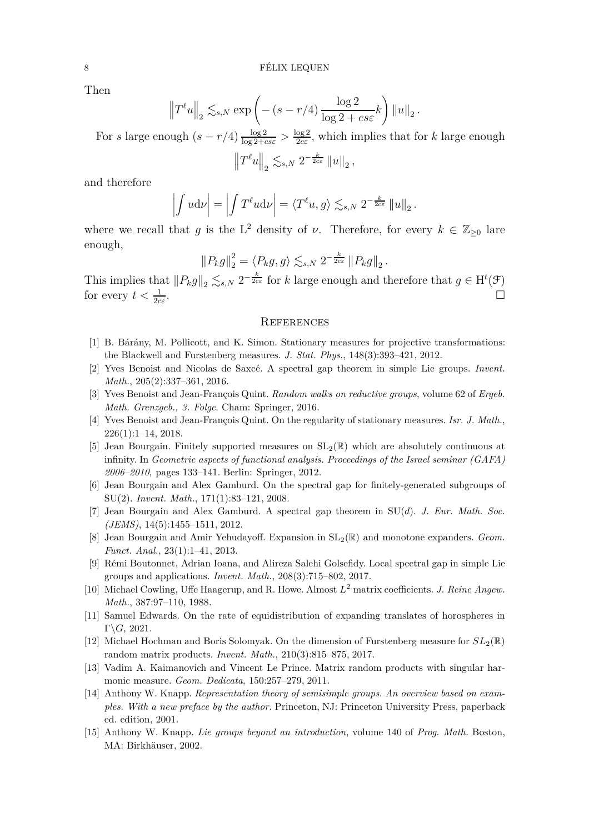Then

$$
\left\|T^{\ell}u\right\|_{2} \lesssim_{s,N} \exp\left(-(s-r/4)\frac{\log 2}{\log 2 + c s \varepsilon}k\right) \|u\|_{2}.
$$

For *s* large enough  $(s - r/4) \frac{\log 2}{\log 2 + c s \epsilon} > \frac{\log 2}{2 c \epsilon}$  $\frac{\log 2}{2c\varepsilon}$ , which implies that for *k* large enough  $||T^{\ell}u||_2 \lesssim_{s,N} 2^{-\frac{k}{2c\varepsilon}} ||u||_2,$ 

and therefore

$$
\left| \int u \mathrm{d} \nu \right| = \left| \int T^{\ell} u \mathrm{d} \nu \right| = \left\langle T^{\ell} u, g \right\rangle \lesssim_{s, N} 2^{-\frac{k}{2c\varepsilon}} \left\| u \right\|_{2}.
$$

where we recall that *g* is the L<sup>2</sup> density of *ν*. Therefore, for every  $k \in \mathbb{Z}_{\geq 0}$  lare enough,

$$
||P_k g||_2^2 = \langle P_k g, g \rangle \lesssim_{s,N} 2^{-\frac{k}{2c\varepsilon}} ||P_k g||_2.
$$

This implies that  $||P_k g||_2 \leq_{s,N} 2^{-\frac{k}{2c\varepsilon}}$  for *k* large enough and therefore that  $g \in H^t(\mathcal{F})$ for every  $t < \frac{1}{2c\varepsilon}$ .

#### **REFERENCES**

- <span id="page-7-6"></span><span id="page-7-2"></span>[1] B. Bárány, M. Pollicott, and K. Simon. Stationary measures for projective transformations: the Blackwell and Furstenberg measures. *J. Stat. Phys.*, 148(3):393–421, 2012.
- <span id="page-7-10"></span>[2] Yves Benoist and Nicolas de Saxc´e. A spectral gap theorem in simple Lie groups. *Invent. Math.*, 205(2):337–361, 2016.
- <span id="page-7-0"></span>[3] Yves Benoist and Jean-François Quint. *Random walks on reductive groups*, volume 62 of *Ergeb. Math. Grenzgeb., 3. Folge*. Cham: Springer, 2016.
- <span id="page-7-3"></span>[4] Yves Benoist and Jean-François Quint. On the regularity of stationary measures. *Isr. J. Math.*,  $226(1):1-14, 2018.$
- [5] Jean Bourgain. Finitely supported measures on  $SL_2(\mathbb{R})$  which are absolutely continuous at infinity. In *Geometric aspects of functional analysis. Proceedings of the Israel seminar (GAFA) 2006–2010*, pages 133–141. Berlin: Springer, 2012.
- <span id="page-7-4"></span>[6] Jean Bourgain and Alex Gamburd. On the spectral gap for finitely-generated subgroups of SU(2). *Invent. Math.*, 171(1):83–121, 2008.
- <span id="page-7-7"></span><span id="page-7-5"></span>[7] Jean Bourgain and Alex Gamburd. A spectral gap theorem in SU(*d*). *J. Eur. Math. Soc. (JEMS)*, 14(5):1455–1511, 2012.
- [8] Jean Bourgain and Amir Yehudayoff. Expansion in SL2(R) and monotone expanders. *Geom. Funct. Anal.*, 23(1):1–41, 2013.
- <span id="page-7-8"></span>[9] R´emi Boutonnet, Adrian Ioana, and Alireza Salehi Golsefidy. Local spectral gap in simple Lie groups and applications. *Invent. Math.*, 208(3):715–802, 2017.
- <span id="page-7-14"></span>[10] Michael Cowling, Uffe Haagerup, and R. Howe. Almost *L* <sup>2</sup> matrix coefficients. *J. Reine Angew. Math.*, 387:97–110, 1988.
- <span id="page-7-11"></span>[11] Samuel Edwards. On the rate of equidistribution of expanding translates of horospheres in Γ\*G*, 2021.
- <span id="page-7-9"></span>[12] Michael Hochman and Boris Solomyak. On the dimension of Furstenberg measure for  $SL_2(\mathbb{R})$ random matrix products. *Invent. Math.*, 210(3):815–875, 2017.
- <span id="page-7-12"></span><span id="page-7-1"></span>[13] Vadim A. Kaimanovich and Vincent Le Prince. Matrix random products with singular harmonic measure. *Geom. Dedicata*, 150:257–279, 2011.
- [14] Anthony W. Knapp. *Representation theory of semisimple groups. An overview based on examples. With a new preface by the author.* Princeton, NJ: Princeton University Press, paperback ed. edition, 2001.
- <span id="page-7-13"></span>[15] Anthony W. Knapp. *Lie groups beyond an introduction*, volume 140 of *Prog. Math.* Boston, MA: Birkhäuser, 2002.